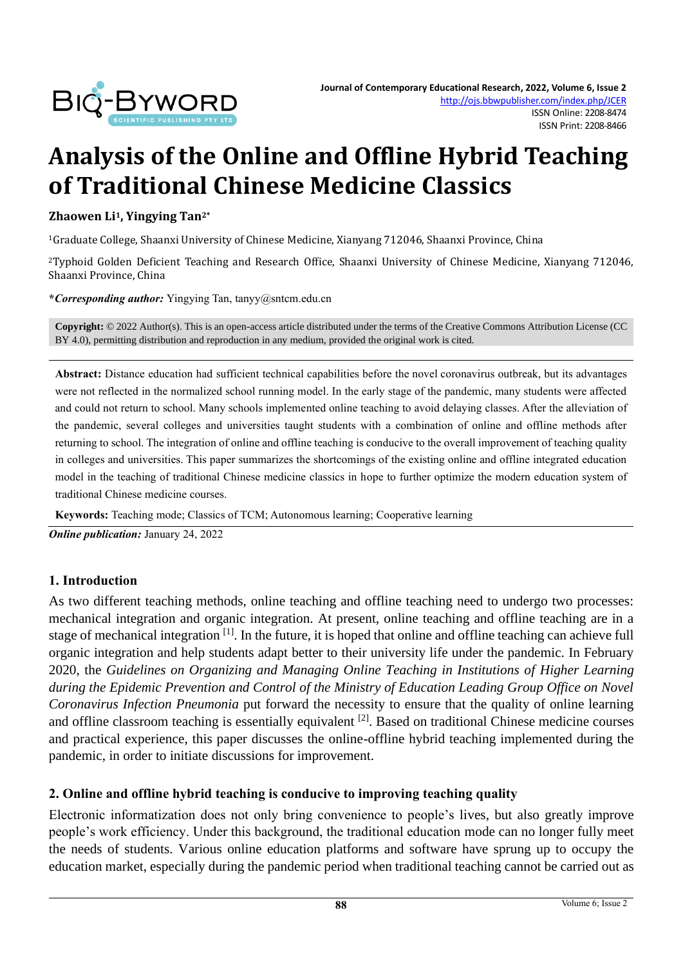

# **Analysis of the Online and Offline Hybrid Teaching of Traditional Chinese Medicine Classics**

#### **Zhaowen Li1, Yingying Tan2\***

<sup>1</sup>Graduate College, Shaanxi University of Chinese Medicine, Xianyang 712046, Shaanxi Province, China

<sup>2</sup>Typhoid Golden Deficient Teaching and Research Office, Shaanxi University of Chinese Medicine, Xianyang 712046, Shaanxi Province, China

**\****Corresponding author:* Yingying Tan, tanyy@sntcm.edu.cn

**Copyright:** © 2022 Author(s). This is an open-access article distributed under the terms of th[e Creative Commons Attribution License \(CC](https://creativecommons.org/licenses/by/4.0/)  [BY 4.0\),](https://creativecommons.org/licenses/by/4.0/) permitting distribution and reproduction in any medium, provided the original work is cited.

**Abstract:** Distance education had sufficient technical capabilities before the novel coronavirus outbreak, but its advantages were not reflected in the normalized school running model. In the early stage of the pandemic, many students were affected and could not return to school. Many schools implemented online teaching to avoid delaying classes. After the alleviation of the pandemic, several colleges and universities taught students with a combination of online and offline methods after returning to school. The integration of online and offline teaching is conducive to the overall improvement of teaching quality in colleges and universities. This paper summarizes the shortcomings of the existing online and offline integrated education model in the teaching of traditional Chinese medicine classics in hope to further optimize the modern education system of traditional Chinese medicine courses.

**Keywords:** Teaching mode; Classics of TCM; Autonomous learning; Cooperative learning

*Online publication:* January 24, 2022

### **1. Introduction**

As two different teaching methods, online teaching and offline teaching need to undergo two processes: mechanical integration and organic integration. At present, online teaching and offline teaching are in a stage of mechanical integration <sup>[1]</sup>. In the future, it is hoped that online and offline teaching can achieve full organic integration and help students adapt better to their university life under the pandemic. In February 2020, the *Guidelines on Organizing and Managing Online Teaching in Institutions of Higher Learning during the Epidemic Prevention and Control of the Ministry of Education Leading Group Office on Novel Coronavirus Infection Pneumonia* put forward the necessity to ensure that the quality of online learning and offline classroom teaching is essentially equivalent [2]. Based on traditional Chinese medicine courses and practical experience, this paper discusses the online-offline hybrid teaching implemented during the pandemic, in order to initiate discussions for improvement.

### **2. Online and offline hybrid teaching is conducive to improving teaching quality**

Electronic informatization does not only bring convenience to people's lives, but also greatly improve people's work efficiency. Under this background, the traditional education mode can no longer fully meet the needs of students. Various online education platforms and software have sprung up to occupy the education market, especially during the pandemic period when traditional teaching cannot be carried out as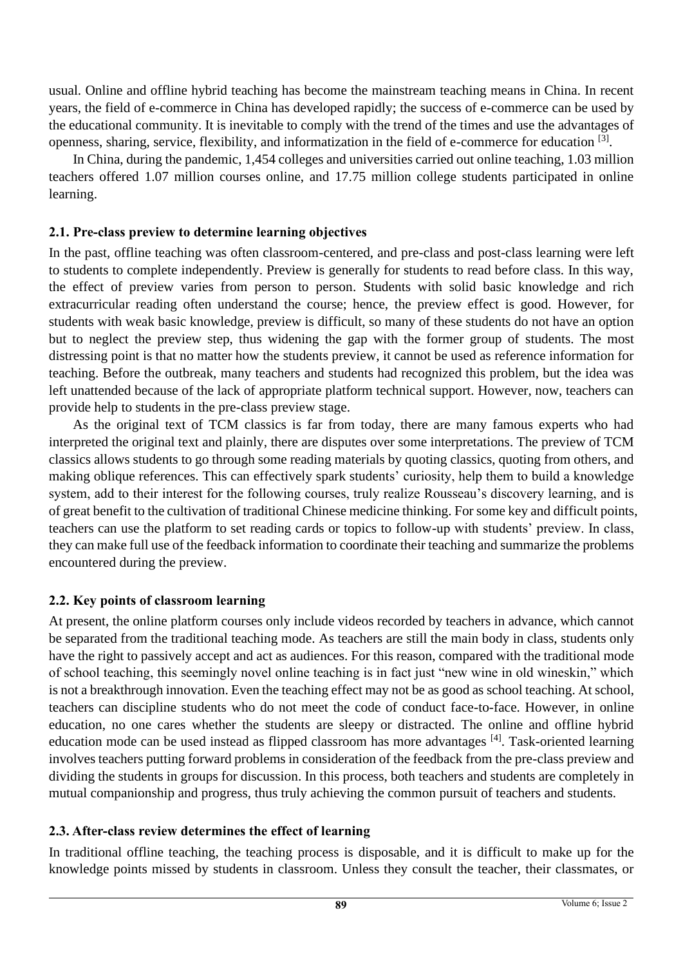usual. Online and offline hybrid teaching has become the mainstream teaching means in China. In recent years, the field of e-commerce in China has developed rapidly; the success of e-commerce can be used by the educational community. It is inevitable to comply with the trend of the times and use the advantages of openness, sharing, service, flexibility, and informatization in the field of e-commerce for education <sup>[3]</sup>.

In China, during the pandemic, 1,454 colleges and universities carried out online teaching, 1.03 million teachers offered 1.07 million courses online, and 17.75 million college students participated in online learning.

## **2.1. Pre-class preview to determine learning objectives**

In the past, offline teaching was often classroom-centered, and pre-class and post-class learning were left to students to complete independently. Preview is generally for students to read before class. In this way, the effect of preview varies from person to person. Students with solid basic knowledge and rich extracurricular reading often understand the course; hence, the preview effect is good. However, for students with weak basic knowledge, preview is difficult, so many of these students do not have an option but to neglect the preview step, thus widening the gap with the former group of students. The most distressing point is that no matter how the students preview, it cannot be used as reference information for teaching. Before the outbreak, many teachers and students had recognized this problem, but the idea was left unattended because of the lack of appropriate platform technical support. However, now, teachers can provide help to students in the pre-class preview stage.

As the original text of TCM classics is far from today, there are many famous experts who had interpreted the original text and plainly, there are disputes over some interpretations. The preview of TCM classics allows students to go through some reading materials by quoting classics, quoting from others, and making oblique references. This can effectively spark students' curiosity, help them to build a knowledge system, add to their interest for the following courses, truly realize Rousseau's discovery learning, and is of great benefit to the cultivation of traditional Chinese medicine thinking. For some key and difficult points, teachers can use the platform to set reading cards or topics to follow-up with students' preview. In class, they can make full use of the feedback information to coordinate their teaching and summarize the problems encountered during the preview.

## **2.2. Key points of classroom learning**

At present, the online platform courses only include videos recorded by teachers in advance, which cannot be separated from the traditional teaching mode. As teachers are still the main body in class, students only have the right to passively accept and act as audiences. For this reason, compared with the traditional mode of school teaching, this seemingly novel online teaching is in fact just "new wine in old wineskin," which is not a breakthrough innovation. Even the teaching effect may not be as good as school teaching. At school, teachers can discipline students who do not meet the code of conduct face-to-face. However, in online education, no one cares whether the students are sleepy or distracted. The online and offline hybrid education mode can be used instead as flipped classroom has more advantages [4]. Task-oriented learning involves teachers putting forward problems in consideration of the feedback from the pre-class preview and dividing the students in groups for discussion. In this process, both teachers and students are completely in mutual companionship and progress, thus truly achieving the common pursuit of teachers and students.

## **2.3. After-class review determines the effect of learning**

In traditional offline teaching, the teaching process is disposable, and it is difficult to make up for the knowledge points missed by students in classroom. Unless they consult the teacher, their classmates, or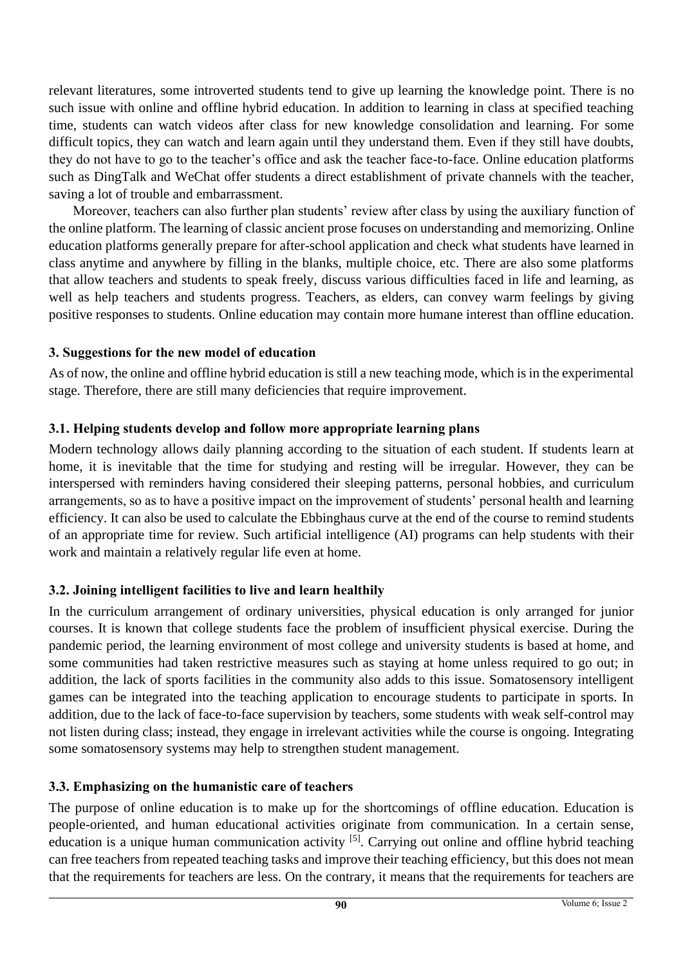relevant literatures, some introverted students tend to give up learning the knowledge point. There is no such issue with online and offline hybrid education. In addition to learning in class at specified teaching time, students can watch videos after class for new knowledge consolidation and learning. For some difficult topics, they can watch and learn again until they understand them. Even if they still have doubts, they do not have to go to the teacher's office and ask the teacher face-to-face. Online education platforms such as DingTalk and WeChat offer students a direct establishment of private channels with the teacher, saving a lot of trouble and embarrassment.

Moreover, teachers can also further plan students' review after class by using the auxiliary function of the online platform. The learning of classic ancient prose focuses on understanding and memorizing. Online education platforms generally prepare for after-school application and check what students have learned in class anytime and anywhere by filling in the blanks, multiple choice, etc. There are also some platforms that allow teachers and students to speak freely, discuss various difficulties faced in life and learning, as well as help teachers and students progress. Teachers, as elders, can convey warm feelings by giving positive responses to students. Online education may contain more humane interest than offline education.

## **3. Suggestions for the new model of education**

As of now, the online and offline hybrid education is still a new teaching mode, which is in the experimental stage. Therefore, there are still many deficiencies that require improvement.

# **3.1. Helping students develop and follow more appropriate learning plans**

Modern technology allows daily planning according to the situation of each student. If students learn at home, it is inevitable that the time for studying and resting will be irregular. However, they can be interspersed with reminders having considered their sleeping patterns, personal hobbies, and curriculum arrangements, so as to have a positive impact on the improvement of students' personal health and learning efficiency. It can also be used to calculate the Ebbinghaus curve at the end of the course to remind students of an appropriate time for review. Such artificial intelligence (AI) programs can help students with their work and maintain a relatively regular life even at home.

# **3.2. Joining intelligent facilities to live and learn healthily**

In the curriculum arrangement of ordinary universities, physical education is only arranged for junior courses. It is known that college students face the problem of insufficient physical exercise. During the pandemic period, the learning environment of most college and university students is based at home, and some communities had taken restrictive measures such as staying at home unless required to go out; in addition, the lack of sports facilities in the community also adds to this issue. Somatosensory intelligent games can be integrated into the teaching application to encourage students to participate in sports. In addition, due to the lack of face-to-face supervision by teachers, some students with weak self-control may not listen during class; instead, they engage in irrelevant activities while the course is ongoing. Integrating some somatosensory systems may help to strengthen student management.

# **3.3. Emphasizing on the humanistic care of teachers**

The purpose of online education is to make up for the shortcomings of offline education. Education is people-oriented, and human educational activities originate from communication. In a certain sense, education is a unique human communication activity <sup>[5]</sup>. Carrying out online and offline hybrid teaching can free teachers from repeated teaching tasks and improve their teaching efficiency, but this does not mean that the requirements for teachers are less. On the contrary, it means that the requirements for teachers are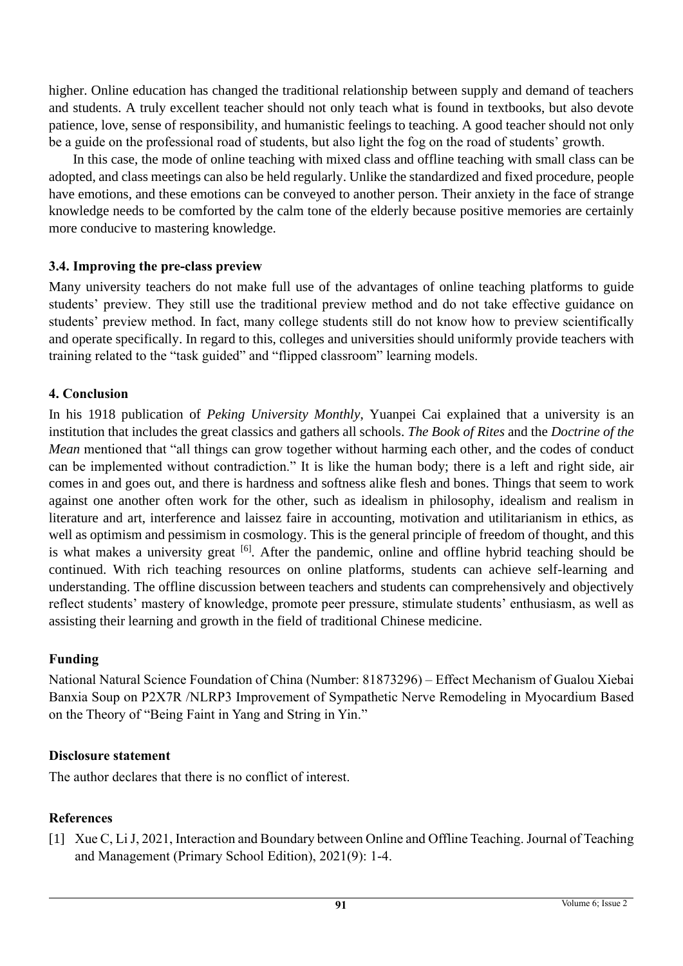higher. Online education has changed the traditional relationship between supply and demand of teachers and students. A truly excellent teacher should not only teach what is found in textbooks, but also devote patience, love, sense of responsibility, and humanistic feelings to teaching. A good teacher should not only be a guide on the professional road of students, but also light the fog on the road of students' growth.

In this case, the mode of online teaching with mixed class and offline teaching with small class can be adopted, and class meetings can also be held regularly. Unlike the standardized and fixed procedure, people have emotions, and these emotions can be conveyed to another person. Their anxiety in the face of strange knowledge needs to be comforted by the calm tone of the elderly because positive memories are certainly more conducive to mastering knowledge.

## **3.4. Improving the pre-class preview**

Many university teachers do not make full use of the advantages of online teaching platforms to guide students' preview. They still use the traditional preview method and do not take effective guidance on students' preview method. In fact, many college students still do not know how to preview scientifically and operate specifically. In regard to this, colleges and universities should uniformly provide teachers with training related to the "task guided" and "flipped classroom" learning models.

## **4. Conclusion**

In his 1918 publication of *Peking University Monthly*, Yuanpei Cai explained that a university is an institution that includes the great classics and gathers all schools. *The Book of Rites* and the *Doctrine of the Mean* mentioned that "all things can grow together without harming each other, and the codes of conduct can be implemented without contradiction." It is like the human body; there is a left and right side, air comes in and goes out, and there is hardness and softness alike flesh and bones. Things that seem to work against one another often work for the other, such as idealism in philosophy, idealism and realism in literature and art, interference and laissez faire in accounting, motivation and utilitarianism in ethics, as well as optimism and pessimism in cosmology. This is the general principle of freedom of thought, and this is what makes a university great <sup>[6]</sup>. After the pandemic, online and offline hybrid teaching should be continued. With rich teaching resources on online platforms, students can achieve self-learning and understanding. The offline discussion between teachers and students can comprehensively and objectively reflect students' mastery of knowledge, promote peer pressure, stimulate students' enthusiasm, as well as assisting their learning and growth in the field of traditional Chinese medicine.

## **Funding**

National Natural Science Foundation of China (Number: 81873296) – Effect Mechanism of Gualou Xiebai Banxia Soup on P2X7R /NLRP3 Improvement of Sympathetic Nerve Remodeling in Myocardium Based on the Theory of "Being Faint in Yang and String in Yin."

## **Disclosure statement**

The author declares that there is no conflict of interest.

## **References**

[1] Xue C, Li J, 2021, Interaction and Boundary between Online and Offline Teaching. Journal of Teaching and Management (Primary School Edition), 2021(9): 1-4.